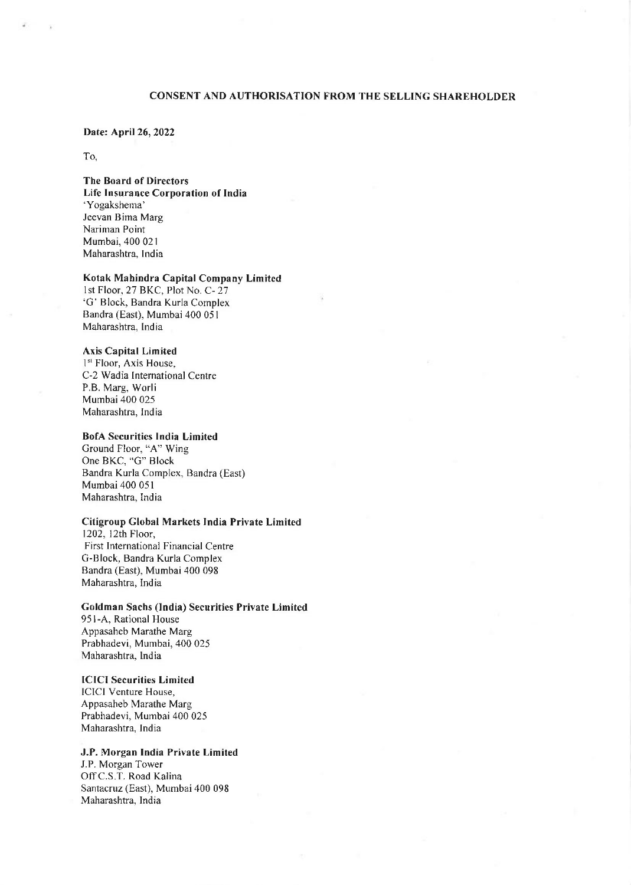# CONSENT AND AUTHORISATION FROM THE SELLING SHAREHOLDER

#### Date: April 26, 2022

#### To.

The Board of Directors Life Insurance Corporation of India 'Yogakshema' Jeevan Bima Marg Nariman Point Mumbai, 400 021 Maharashtra, India

# Kotak Mahindra Capital Company Limited

l st Floor, 27 BKC, Plot No. C- 27 'G' Block, Bandra Kurla Complex Bandra (East), Mumbai 400 051 Maharashtra, India

## Axis Capital Limited

1<sup>st</sup> Floor, Axis House, C-2 Wadia Intemational Centre P.B. Marg, Worli Mumbai 400 025 Maharashtra, lndia

#### BofA Securities India Limited

Ground Floor, "A" Wing One BKC, "G" Block Bandra Kurla Complex, Bandra (East) Mumbai 400 051 Maharashtra, lndia

#### Citigroup Global Markets India Private Limited

1202, l2th Floor, First International Financial Centre G-Block, Bandra Kurla Complex Bandra (East), Mumbai 400 098 Maharashtra, India

#### Goldman Sachs (India) Securities Private Limited 951-A, Rational House

Appasaheb Marathe Marg Prabhadevi, Mumbai, 400 025 Maharashtra, lndia

# ICICI Securities Limited

ICICI Venture House, Appasaheb Marathe Marg Prabhadevi. Mumbai 400 025 Maharashtra. India

#### J.P. Morgan India Private Limited

J.P. Morgan Tower Off C.S.T. Road Kalina Santacruz (East), Mumbai 400 098 Maharashtra, India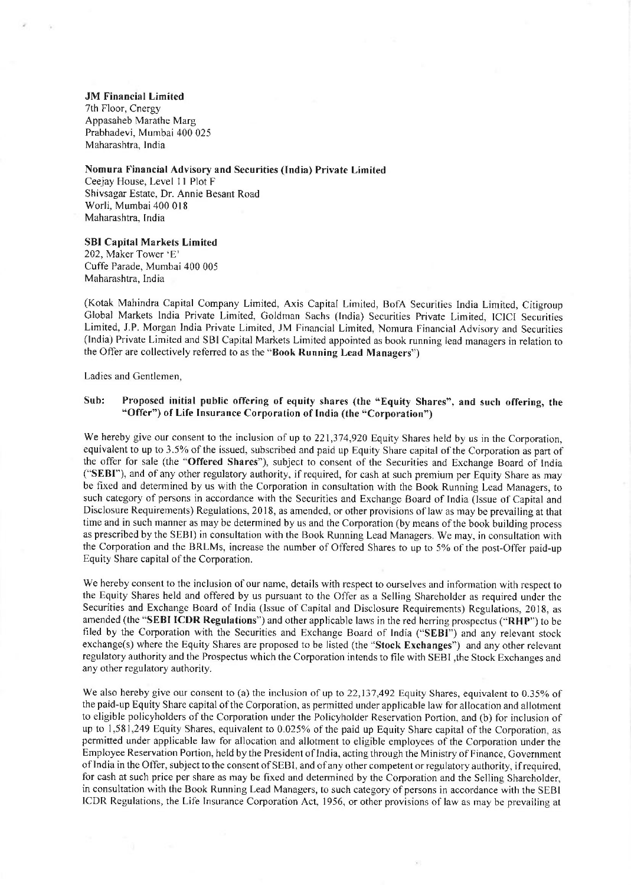JM Financial Limited 7th Floor, Cnergy

Appasaheb Marathe Marg Prabhadevi. Mumbai 400 025 Maharashtra, India

#### Nomura Financial Advisory and Securities (India) Private Limited

Ceejay House, Level 11 Plot F Shivsagar Estate, Dr. Annie Besant Road Worli. Mumbai 400 018 Maharashtra. lndia

SBI Capital Markets Limited 202, Maker Tower 'E' Cuffe Parade. Mumbai 400 005 Maharashtra, India

(Kotak Mahindra Capital Company Limited, Axis Capital Limited, BofA Securities tndia Limited, Cirigroup Global Markets lndia Private Limited, Goldman Sachs (lndia) Securities Private Limited, ICICI Securities Limited, J.P. Morgan India Private Limited, JM Financial Limited, Nomura Financial Advisory and Securiries (lndia) Private Limited and SBI Capital Markets Limited appointed as book running lead managers in relation to the Offer are collectively referred to as the "Book Running Lead Managers")

Ladies and Gentlemen.

#### Sub: Proposed initial public offering of equity shares (the "Equity Shares", and such offering, the "Offer") of Life Insurance Corporation of India (the "Corporation")

We hereby give our consent to the inclusion of up to 221,374,920 Equity Shares held by us in the Corporation, equivalent to up to 3.5% of the issued, subscribed and paid up Equity Share capital of the Corporation as part of the offer for sale (he "Offered Shares"), subject to consent of the Securities and Exchange Board of India ("SEBf'), and of any other regulatory authority, if required, for cash at such premium per Equity Share as may be fixed and determined by us with the Corporation in consultation with the Book Running Lead Managers, to such category of persons in accordance with the Securities and Exchange Board of India (Issue of Capital and Disclosure Requirements) Regulations, 2018, as amended, or other provisions of law as may be prevailing at that time and in such manner as may be determined by us and the Corporation (by means of the book building process as prescribed by the SEBI) in consultation with the Book Running Lead Managers. We may, in consultation with the Corporation and the BRLMs, increase the number of Offered Shares to up to 5% of the post-Offer paid-up Equity Share capital of the Corporation.

We hereby consent to the inclusion of our name, details with respect to ourselves and information with respect to the Equity Shares held and offered by us pursuant to the Offer as a Selling Shareholder as required under the Securities and Exchange Board of India (Issue of Capital and Disclosure Requirements) Regulations, 2018, as amended (the "SEBI ICDR Regulations") and other applicable laws in the red herring prospectus ("RHP") to be filed by the Corporation with the Securities and Exchange Board of India ("SEBI") and any relevant stock exchange(s) where the Equity Shares are proposed to be listed (the "Stock Exchanges") and any other relevant regulatory authority and the Prospectus which the Corporation intends to file with SEBI ,the Stock Exchanges and any other regulatory authority.

We also hereby give our consent to (a) the inclusion of up to 22,137,492 Equity Shares, equivalent to 0.35% of the paid-up Equity Share capital ofthe Corporation, as permitted under applicable law for allocation and allotment to eligible policyholders of the Corporation under the Policyholder Reservation Portion, and (b) for inclusion of up to 1,581,249 Equity Shares, equivalent to 0.025% of the paid up Equity Share capital of the Corporation, as permitted under applicable law for allocation and allotment to eligible employees of the Corporation under the Employee Reservation Portion, held by the President of India, acting through the Ministry of Finance, Government of India in the Offer, subject to the consent of SEBI, and of any other competent or regulatory authority, if required, for cash at such price per share as may be fixed and detemined by the Coryoration and the Selling Shareholder, in consultation with the Book Running Lead Managers, to such category of persons in accordance with the SEBI ICDR Regulations, the Life Insurance Corporation Act, 1956, or other provisions oflaw as may be prevailing at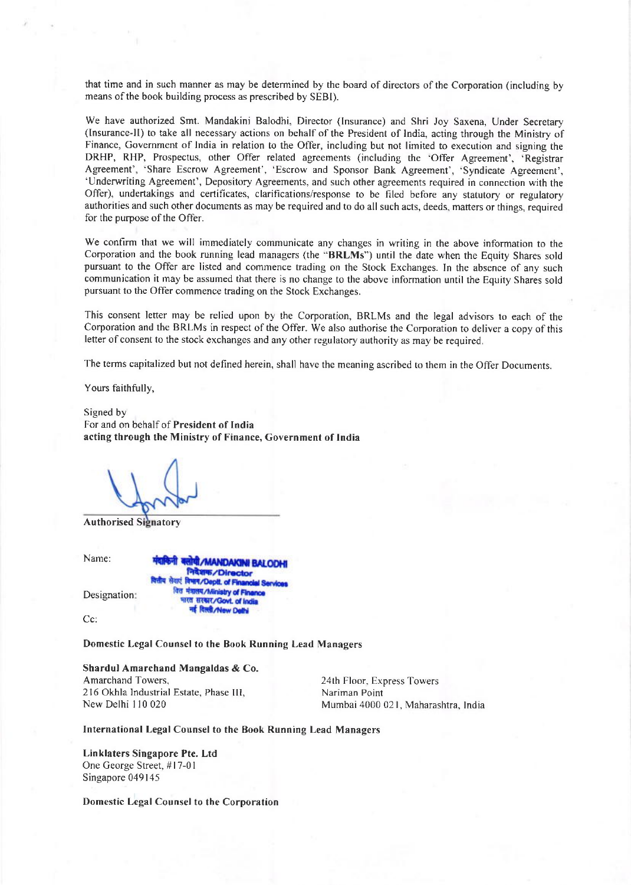that time and in such manner as may be determined by the board of directors of the Corporation (including by means of the book building process as prescribed by SEBI).

We have authorized Smt. Mandakini Balodhi, Director (lnsurance) and Shri Joy Saxena, Under Secretary (lnsurance-ll) to take all necessary actions on behalf of the President of lndia, acting through the Ministry of Finance, Government of lndia in relation to the Offer, including but not limited to execution and signing the DRHP, RHP, Prospectus, other Offer related agreements (including the 'Offer Agreement', 'Registrar Agreement', 'Share Escrow Agreement', 'Escrow and Sponsor Bank Agreement', 'Syndicate Agreement', 'Underwriting Agreement', Depository Agreements, and such other agreements required in connection with the Offer), undertakings and certificates, clarifications/response to be filed before any statutory or regulatory authorities and such other documents as may be required and to do all such acts, deeds, matters or things, required for the purpose of the Offer.

We confirm that we will immediately communicate any changes in writing in the above information to the Corporation and the book running lead managers (the "BRLMS") until the date when the Equity Shares sold pursuant to the Offer are listed and commence trading on the Stock Exchanges. In the absence of any such communication it may be assumed that there is no change to the above information until the Equity Shares sold pursuant to the Offer commence trading on the Stock Exchanges.

This consent letter may be relied upon by the Corporation, BRLMS and the legal advisors to each of the Corporation and the BRLMs in respect of the Offer. We also authorise the Corporation to deliver a copy of this letter of consent to the stock exchanges and any other regulatory authority as may be required.

The terms capitalized but not defined herein, shall have the meaning ascribed to them in the Offer Documents.

Yours faithfully,

Signed by For and on behalf of President of India scting through the Ministry of Finance, Government of lndia

**Authorised Signatory** 

Name:

Designation:

**TAR INDARIAL BALO** निर्देशक/Dire **del Wallett Akin Kd सरका/G Rites /New Dr** 

Cc:

Domestic Legal Counsel to the Book Running Lead Managers

Shardul Amarchand Mangaldas & Co. Amarchand Towers. 216 Okhla lndustrial Estate, Phase III. New Delhi I l0 020

24th Floor, Express Towers Nariman Point Mumbai 4000 021, Maharashtra, lndia

International Legal Counsel to the Book Running Lead Managers

Linklaters Singapore Pte. Ltd One George Street, # I 7-01 Singapore 049145

Domestic Legal Counsel to the Corporation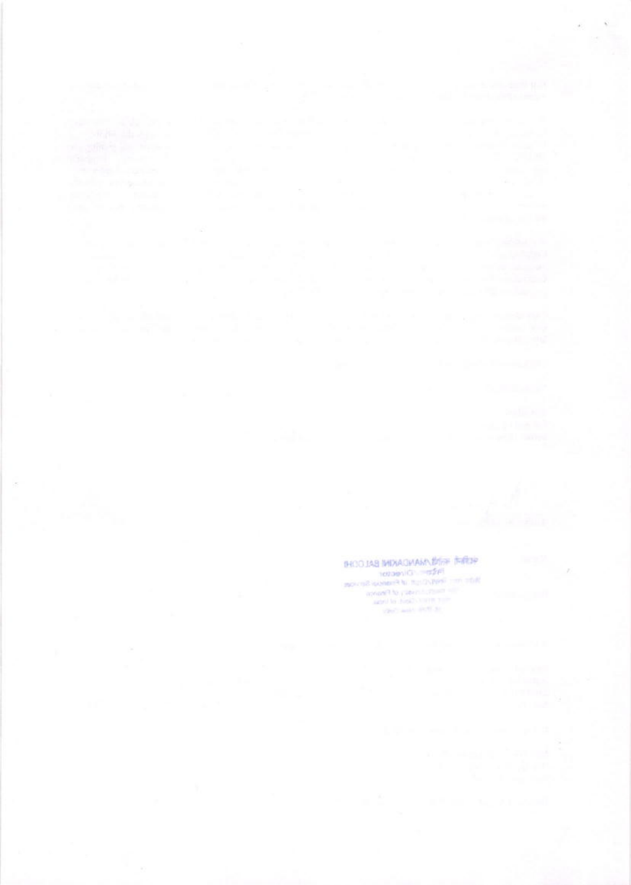$\sim$  0.

# **HOO JAB MIXAGHAM AND FARISH**

tetaenia este Was not represented of Francis Se **CONTACTIVITY OF PROVING**<br>The Mark Classical of Urban<br>The Mini-Classical Corp.